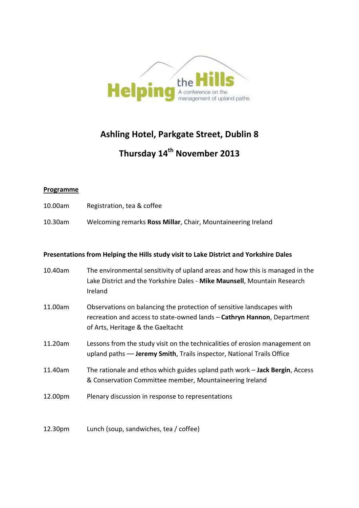

## **Ashling Hotel, Parkgate Street, Dublin 8**

# **Thursday 14th November 2013**

#### **Programme**

- 10.00am Registration, tea & coffee
- 10.30am Welcoming remarks **Ross Millar**, Chair, Mountaineering Ireland

#### **Presentations from Helping the Hills study visit to Lake District and Yorkshire Dales**

| 10.40am | The environmental sensitivity of upland areas and how this is managed in the<br>Lake District and the Yorkshire Dales - Mike Maunsell, Mountain Research<br>Ireland                   |
|---------|---------------------------------------------------------------------------------------------------------------------------------------------------------------------------------------|
| 11.00am | Observations on balancing the protection of sensitive landscapes with<br>recreation and access to state-owned lands - Cathryn Hannon, Department<br>of Arts, Heritage & the Gaeltacht |
| 11.20am | Lessons from the study visit on the technicalities of erosion management on<br>upland paths - Jeremy Smith, Trails inspector, National Trails Office                                  |
| 11.40am | The rationale and ethos which guides upland path work - Jack Bergin, Access<br>& Conservation Committee member, Mountaineering Ireland                                                |
| 12.00pm | Plenary discussion in response to representations                                                                                                                                     |

12.30pm Lunch (soup, sandwiches, tea / coffee)